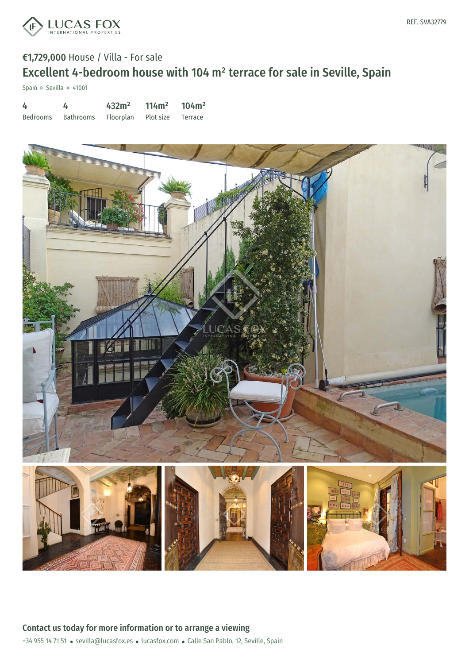

# €1,729,000 House / Villa - For sale Excellent 4-bedroom house with 104 m² terrace for sale in Seville, Spain

Spain » Sevilla » 41001

| 4        |           | 432m <sup>2</sup> | $114 \text{ m}^2$ | 104m <sup>2</sup> |
|----------|-----------|-------------------|-------------------|-------------------|
| Bedrooms | Bathrooms | Floorplan         | Plot size Terrace |                   |

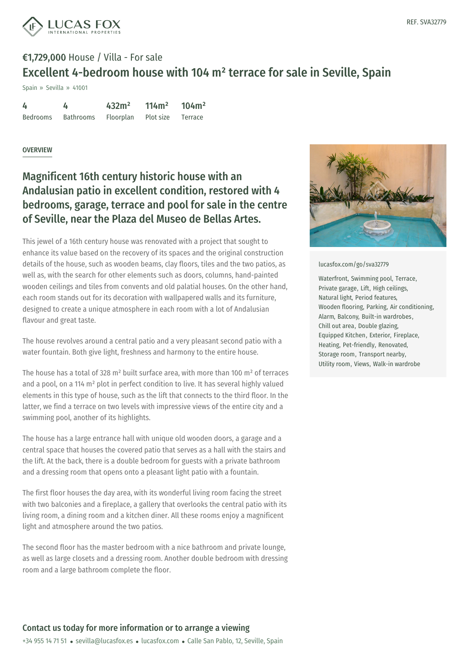

# €1,729,000 House / Villa - For sale Excellent 4-bedroom house with 104 m² terrace for sale in Seville, Spain

Spain » Sevilla » 41001

| 4        | 4         | 432m <sup>2</sup> | 114m <sup>2</sup> | 104m <sup>2</sup> |
|----------|-----------|-------------------|-------------------|-------------------|
| Bedrooms | Bathrooms | Floorplan         | Plot size Terrace |                   |

### **OVERVIEW**

## Magnificent 16th century historic house with an Andalusian patio in excellent condition, restored with 4 bedrooms, garage, terrace and pool for sale in the centre of Seville, near the Plaza del Museo de Bellas Artes.

This jewel of a 16th century house was renovated with a project that sought to enhance its value based on the recovery of its spaces and the original construction details of the house, such as wooden beams, clay floors, tiles and the two patios, as well as, with the search for other elements such as doors, columns, hand-painted wooden ceilings and tiles from convents and old palatial houses. On the other hand, each room stands out for its decoration with wallpapered walls and its furniture, designed to create a unique atmosphere in each room with a lot of Andalusian flavour and great taste.

The house revolves around a central patio and a very pleasant second patio with a water fountain. Both give light, freshness and harmony to the entire house.

The house has a total of 328 m<sup>2</sup> built surface area, with more than 100 m<sup>2</sup> of terraces and a pool, on a 114 m² plot in perfect condition to live. It has several highly valued elements in this type of house, such as the lift that connects to the third floor. In the latter, we find a terrace on two levels with impressive views of the entire city and a swimming pool, another of its highlights.

The house has a large entrance hall with unique old wooden doors, a garage and a central space that houses the covered patio that serves as a hall with the stairs and the lift. At the back, there is a double bedroom for guests with a private bathroom and a dressing room that opens onto a pleasant light patio with a fountain.

The first floor houses the day [area,](mailto:sevilla@lucasfox.es) with its [wonde](https://www.lucasfox.com)rful living room facing the street with two balconies and a fireplace, a gallery that overlooks the central patio with its living room, a dining room and a kitchen diner. All these rooms enjoy a magnificent light and atmosphere around the two patios.

The second floor has the master bedroom with a nice bathroom and private lounge, as well as large closets and a dressing room. Another double bedroom with dressing room and a large bathroom complete the floor.



#### [lucasfox.com/go/sva32779](https://www.lucasfox.com/go/sva32779)

Waterfront, Swimming pool, Terrace, Private garage, Lift, High ceilings, Natural light, Period features, Wooden flooring, Parking, Air conditioning, Alarm, Balcony, Built-in wardrobes, Chill out area, Double glazing, Equipped Kitchen, Exterior, Fireplace, Heating, Pet-friendly, Renovated, Storage room, Transport nearby, Utility room, Views, Walk-in wardrobe